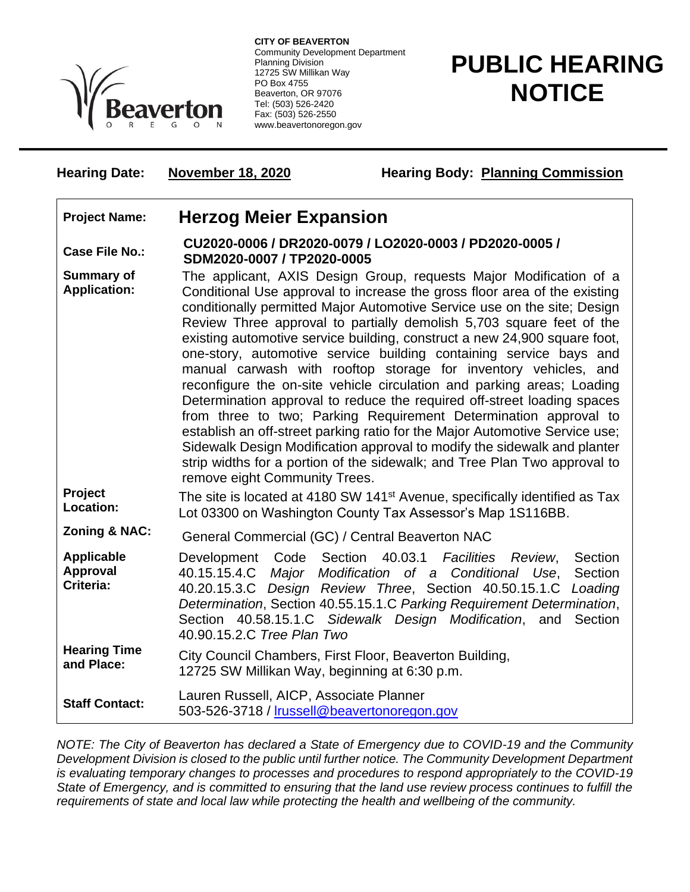

**CITY OF BEAVERTON** Community Development Department Planning Division 12725 SW Millikan Way PO Box 4755 Beaverton, OR 97076 Tel: (503) 526-2420 Fax: (503) 526-2550 www.beavertonoregon.gov

## **PUBLIC HEARING NOTICE**

| <b>Hearing Date:</b>                              | <b>November 18, 2020</b>                                                                                                                                                                                                                                                                                                                                                                                                                                                                                                                                                                                                                                                                                                                                                                                                                                                                                                                                                                                                                                                                                               |                                                               | <b>Hearing Body: Planning Commission</b>                   |
|---------------------------------------------------|------------------------------------------------------------------------------------------------------------------------------------------------------------------------------------------------------------------------------------------------------------------------------------------------------------------------------------------------------------------------------------------------------------------------------------------------------------------------------------------------------------------------------------------------------------------------------------------------------------------------------------------------------------------------------------------------------------------------------------------------------------------------------------------------------------------------------------------------------------------------------------------------------------------------------------------------------------------------------------------------------------------------------------------------------------------------------------------------------------------------|---------------------------------------------------------------|------------------------------------------------------------|
| <b>Project Name:</b>                              | <b>Herzog Meier Expansion</b>                                                                                                                                                                                                                                                                                                                                                                                                                                                                                                                                                                                                                                                                                                                                                                                                                                                                                                                                                                                                                                                                                          |                                                               |                                                            |
| <b>Case File No.:</b>                             | CU2020-0006 / DR2020-0079 / LO2020-0003 / PD2020-0005 /<br>SDM2020-0007 / TP2020-0005                                                                                                                                                                                                                                                                                                                                                                                                                                                                                                                                                                                                                                                                                                                                                                                                                                                                                                                                                                                                                                  |                                                               |                                                            |
| <b>Summary of</b><br><b>Application:</b>          | The applicant, AXIS Design Group, requests Major Modification of a<br>Conditional Use approval to increase the gross floor area of the existing<br>conditionally permitted Major Automotive Service use on the site; Design<br>Review Three approval to partially demolish 5,703 square feet of the<br>existing automotive service building, construct a new 24,900 square foot,<br>one-story, automotive service building containing service bays and<br>manual carwash with rooftop storage for inventory vehicles, and<br>reconfigure the on-site vehicle circulation and parking areas; Loading<br>Determination approval to reduce the required off-street loading spaces<br>from three to two; Parking Requirement Determination approval to<br>establish an off-street parking ratio for the Major Automotive Service use;<br>Sidewalk Design Modification approval to modify the sidewalk and planter<br>strip widths for a portion of the sidewalk; and Tree Plan Two approval to<br>remove eight Community Trees.<br>The site is located at 4180 SW 141 <sup>st</sup> Avenue, specifically identified as Tax |                                                               |                                                            |
| Project<br>Location:                              | Lot 03300 on Washington County Tax Assessor's Map 1S116BB.                                                                                                                                                                                                                                                                                                                                                                                                                                                                                                                                                                                                                                                                                                                                                                                                                                                                                                                                                                                                                                                             |                                                               |                                                            |
| Zoning & NAC:                                     | General Commercial (GC) / Central Beaverton NAC                                                                                                                                                                                                                                                                                                                                                                                                                                                                                                                                                                                                                                                                                                                                                                                                                                                                                                                                                                                                                                                                        |                                                               |                                                            |
| <b>Applicable</b><br><b>Approval</b><br>Criteria: | Development Code Section 40.03.1<br>40.15.15.4.C<br>40.20.15.3.C Design Review Three, Section 40.50.15.1.C<br>Determination, Section 40.55.15.1.C Parking Requirement Determination,<br>Section 40.58.15.1.C Sidewalk Design Modification,<br>40.90.15.2.C Tree Plan Two                                                                                                                                                                                                                                                                                                                                                                                                                                                                                                                                                                                                                                                                                                                                                                                                                                               | <b>Facilities</b><br>Major Modification of a Conditional Use, | Section<br>Review,<br>Section<br>Loading<br>Section<br>and |
| <b>Hearing Time</b><br>and Place:                 | City Council Chambers, First Floor, Beaverton Building,<br>12725 SW Millikan Way, beginning at 6:30 p.m.                                                                                                                                                                                                                                                                                                                                                                                                                                                                                                                                                                                                                                                                                                                                                                                                                                                                                                                                                                                                               |                                                               |                                                            |
| <b>Staff Contact:</b>                             | Lauren Russell, AICP, Associate Planner<br>503-526-3718 / Irussell@beavertonoregon.gov                                                                                                                                                                                                                                                                                                                                                                                                                                                                                                                                                                                                                                                                                                                                                                                                                                                                                                                                                                                                                                 |                                                               |                                                            |

*NOTE: The City of Beaverton has declared a State of Emergency due to COVID-19 and the Community Development Division is closed to the public until further notice. The Community Development Department is evaluating temporary changes to processes and procedures to respond appropriately to the COVID-19 State of Emergency, and is committed to ensuring that the land use review process continues to fulfill the requirements of state and local law while protecting the health and wellbeing of the community.*